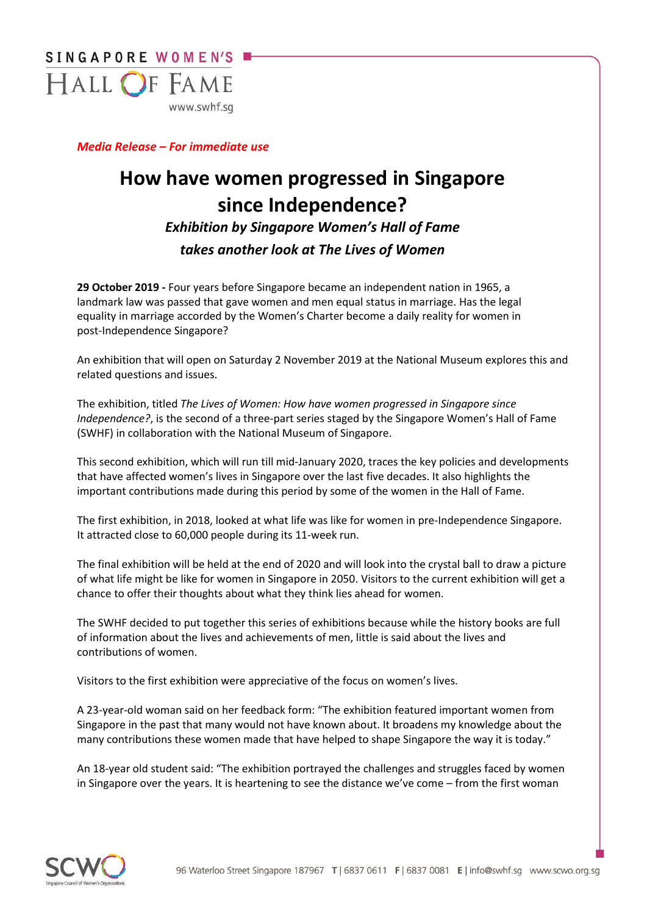

*Media Release – For immediate use* 

# **How have women progressed in Singapore since Independence?**

# *Exhibition by Singapore Women's Hall of Fame takes another look at The Lives of Women*

**29 October 2019 -** Four years before Singapore became an independent nation in 1965, a landmark law was passed that gave women and men equal status in marriage. Has the legal equality in marriage accorded by the Women's Charter become a daily reality for women in post-Independence Singapore?

An exhibition that will open on Saturday 2 November 2019 at the National Museum explores this and related questions and issues.

The exhibition, titled *The Lives of Women: How have women progressed in Singapore since Independence?*, is the second of a three-part series staged by the Singapore Women's Hall of Fame (SWHF) in collaboration with the National Museum of Singapore.

This second exhibition, which will run till mid-January 2020, traces the key policies and developments that have affected women's lives in Singapore over the last five decades. It also highlights the important contributions made during this period by some of the women in the Hall of Fame.

The first exhibition, in 2018, looked at what life was like for women in pre-Independence Singapore. It attracted close to 60,000 people during its 11-week run.

The final exhibition will be held at the end of 2020 and will look into the crystal ball to draw a picture of what life might be like for women in Singapore in 2050. Visitors to the current exhibition will get a chance to offer their thoughts about what they think lies ahead for women.

The SWHF decided to put together this series of exhibitions because while the history books are full of information about the lives and achievements of men, little is said about the lives and contributions of women.

Visitors to the first exhibition were appreciative of the focus on women's lives.

A 23-year-old woman said on her feedback form: "The exhibition featured important women from Singapore in the past that many would not have known about. It broadens my knowledge about the many contributions these women made that have helped to shape Singapore the way it is today."

An 18-year old student said: "The exhibition portrayed the challenges and struggles faced by women in Singapore over the years. It is heartening to see the distance we've come – from the first woman